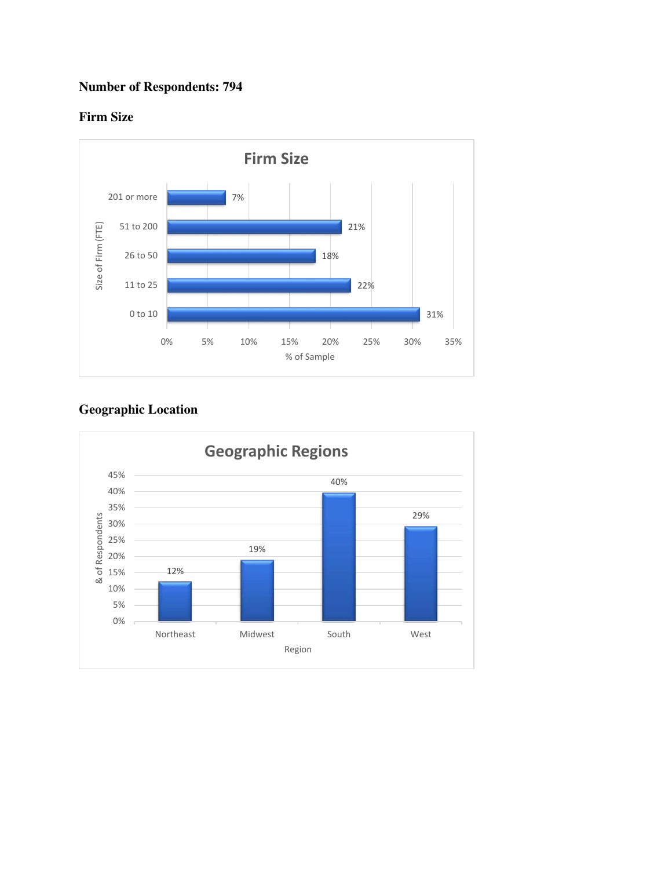# **Number of Respondents: 794**

### **Firm Size**



## **Geographic Location**

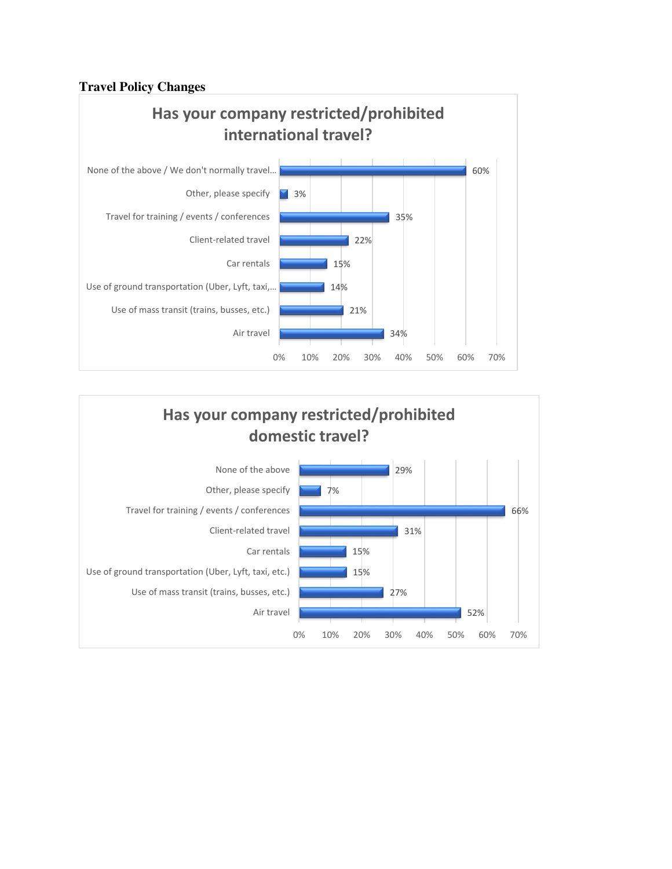### **Travel Policy Changes**



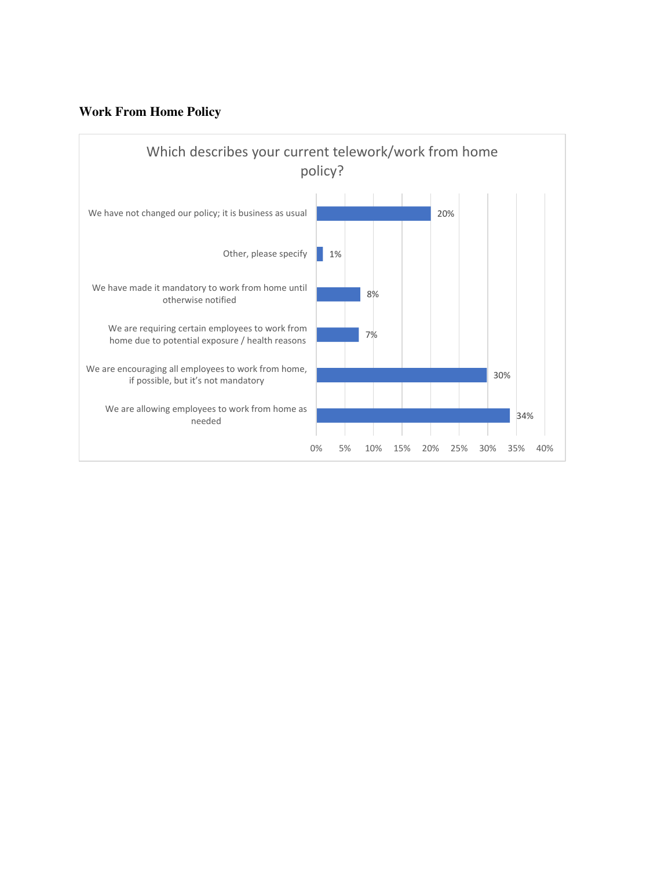### **Work From Home Policy**

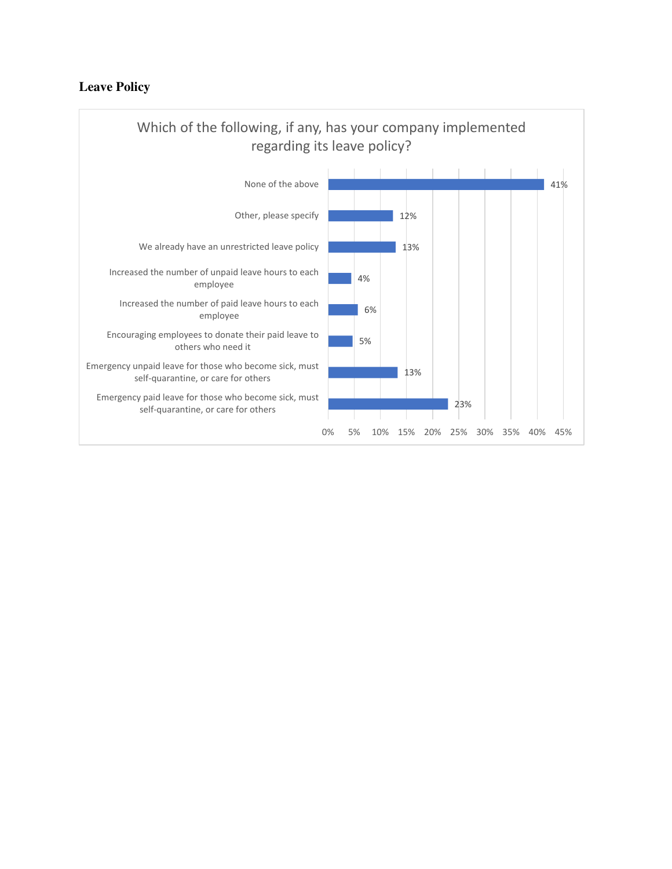### **Leave Policy**

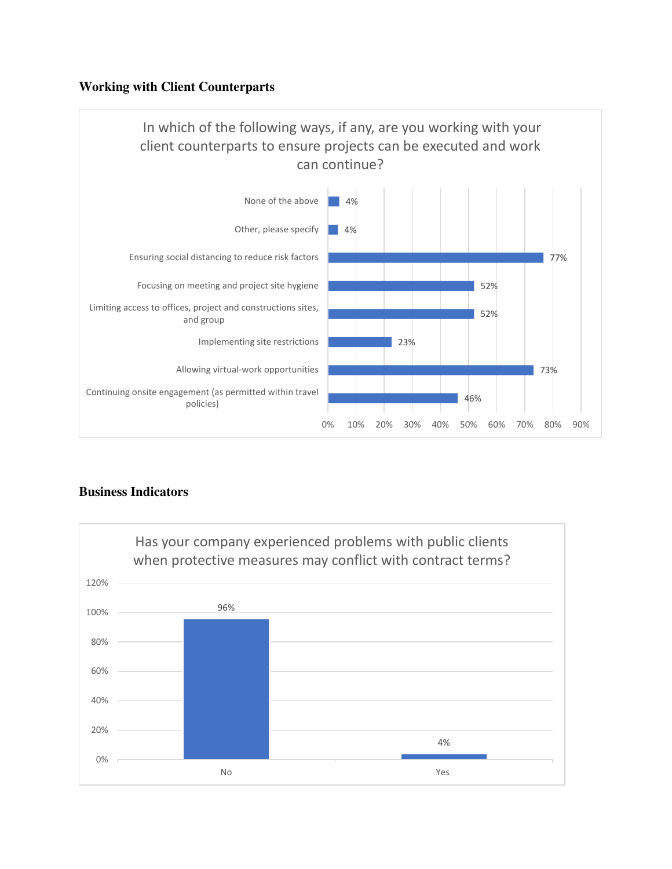### **Working with Client Counterparts**



### **Business Indicators**

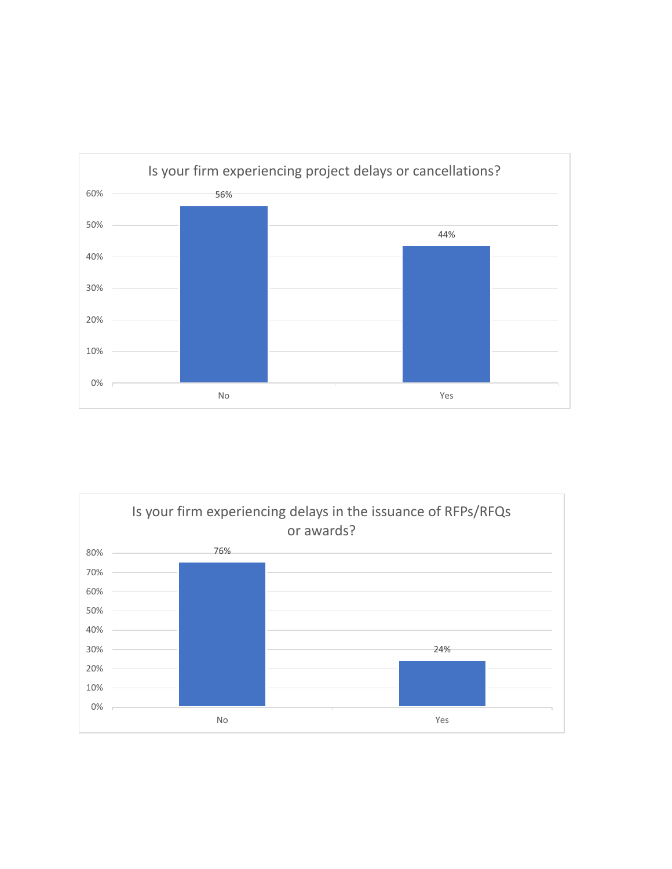